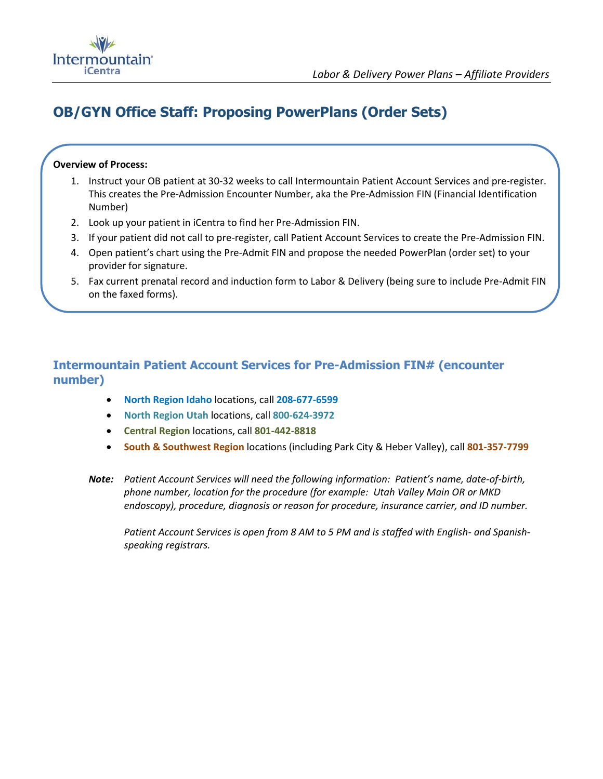

# **OB/GYN Office Staff: Proposing PowerPlans (Order Sets)**

#### **Overview of Process:**

- 1. Instruct your OB patient at 30-32 weeks to call Intermountain Patient Account Services and pre-register. This creates the Pre-Admission Encounter Number, aka the Pre-Admission FIN (Financial Identification Number)
- 2. Look up your patient in iCentra to find her Pre-Admission FIN.
- 3. If your patient did not call to pre-register, call Patient Account Services to create the Pre-Admission FIN.
- 4. Open patient's chart using the Pre-Admit FIN and propose the needed PowerPlan (order set) to your provider for signature.
- 5. Fax current prenatal record and induction form to Labor & Delivery (being sure to include Pre-Admit FIN on the faxed forms).

### **Intermountain Patient Account Services for Pre-Admission FIN# (encounter number)**

- **North Region Idaho** locations, call **208-677-6599**
- **North Region Utah** locations, call **800-624-3972**
- **Central Region** locations, call **801-442-8818**
- **South & Southwest Region** locations (including Park City & Heber Valley), call **801-357-7799**
- *Note: Patient Account Services will need the following information: Patient's name, date-of-birth, phone number, location for the procedure (for example: Utah Valley Main OR or MKD endoscopy), procedure, diagnosis or reason for procedure, insurance carrier, and ID number.*

*Patient Account Services is open from 8 AM to 5 PM and is staffed with English- and Spanishspeaking registrars.*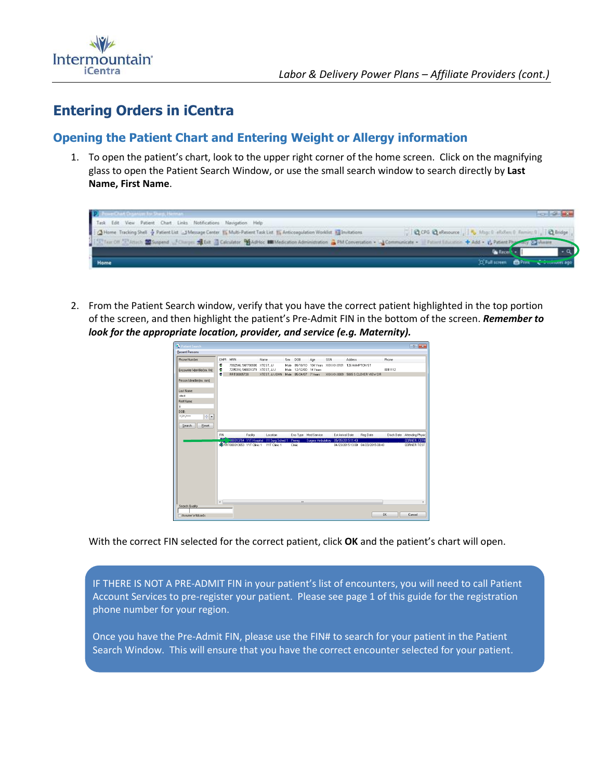

## **Entering Orders in iCentra**

## **Opening the Patient Chart and Entering Weight or Allergy information**

1. To open the patient's chart, look to the upper right corner of the home screen. Click on the magnifying glass to open the Patient Search Window, or use the small search window to search directly by **Last Name, First Name**.

| <b>DE</b>                                                                                                                                                                                   |                                                           | <b>CONTRACTOR</b> |
|---------------------------------------------------------------------------------------------------------------------------------------------------------------------------------------------|-----------------------------------------------------------|-------------------|
| Task Edit View Patient Chart Links Notifications Navigation Help                                                                                                                            |                                                           |                   |
| [2] Home Tracking Shell & Patient List __1 Message Center [5] Multi-Patient Task List [5] Anticoagulation Worklist [3] Invitations                                                          | QCPG Q eResource   5 Map 0 shokes 0 Family 0 .   Q Bridge |                   |
| ■ Extraction (Elerach 語 Suspend of Clarge: 通Die 国 Calculator 種Advice 細Medication Administration 違 PM Conversation + →Communicate + Il Patient Education + もad + ら Patient Physion y Gineart |                                                           |                   |
|                                                                                                                                                                                             | <b>Called L.</b>                                          |                   |
| Home                                                                                                                                                                                        | O Full screen DPT Comment ago                             |                   |

2. From the Patient Search window, verify that you have the correct patient highlighted in the top portion of the screen, and then highlight the patient's Pre-Admit FIN in the bottom of the screen. *Remember to look for the appropriate location, provider, and service (e.g. Maternity).*



With the correct FIN selected for the correct patient, click **OK** and the patient's chart will open.

IF THERE IS NOT A PRE-ADMIT FIN in your patient's list of encounters, you will need to call Patient Account Services to pre-register your patient. Please see page 1 of this guide for the registration phone number for your region.

Once you have the Pre-Admit FIN, please use the FIN# to search for your patient in the Patient Search Window. This will ensure that you have the correct encounter selected for your patient.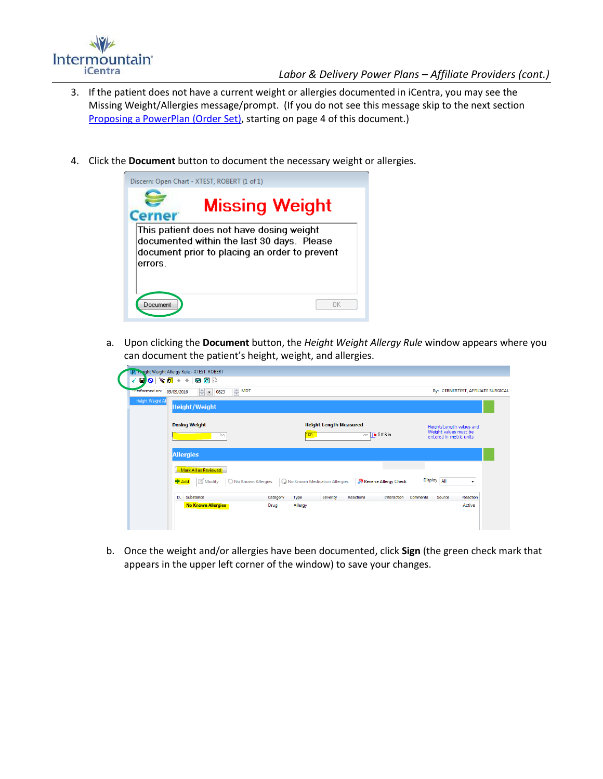

- 3. If the patient does not have a current weight or allergies documented in iCentra, you may see the Missing Weight/Allergies message/prompt. (If you do not see this message skip to the next section Proposing [a PowerPlan](#page-3-0) (Order Set), starting on page 4 of this document.)
- 4. Click the **Document** button to document the necessary weight or allergies.



a. Upon clicking the **Document** button, the *Height Weight Allergy Rule* window appears where you can document the patient's height, weight, and allergies.

| Performed on:     | $\triangleq$ MDT<br>$\frac{1}{\sqrt{2}}$<br>09/09/2016<br>0823       |          |         |                               |                              |                       |                    | By: CERNERTEST, AFFILIATE SURGICAL                                           |
|-------------------|----------------------------------------------------------------------|----------|---------|-------------------------------|------------------------------|-----------------------|--------------------|------------------------------------------------------------------------------|
| Height Weight All | <b>Height/Weight</b>                                                 |          |         |                               |                              |                       |                    |                                                                              |
|                   | <b>Dosing Weight</b><br>kg                                           |          | 168     | <b>Height Length Measured</b> | $cm$ $\frac{1}{2}$ 5 ft 6 in |                       |                    | Height/Length values and<br>Weight values must be<br>entered in metric units |
|                   | <b>Allergies</b>                                                     |          |         |                               |                              |                       |                    |                                                                              |
|                   | Mark All as Reviewed<br><b>卡 Add</b><br>No Known Allergies<br>Modify |          |         | Mo Known Medication Allergies |                              | Reverse Allergy Check | Display All        | $\cdot$                                                                      |
|                   | D. Substance                                                         | Category | Type    | Severity                      | Reactions                    | Interaction           | Comments<br>Source | Reaction                                                                     |
|                   | <b>No Known Allergies</b>                                            | Drug     | Allergy |                               |                              |                       |                    | Active                                                                       |

b. Once the weight and/or allergies have been documented, click **Sign** (the green check mark that appears in the upper left corner of the window) to save your changes.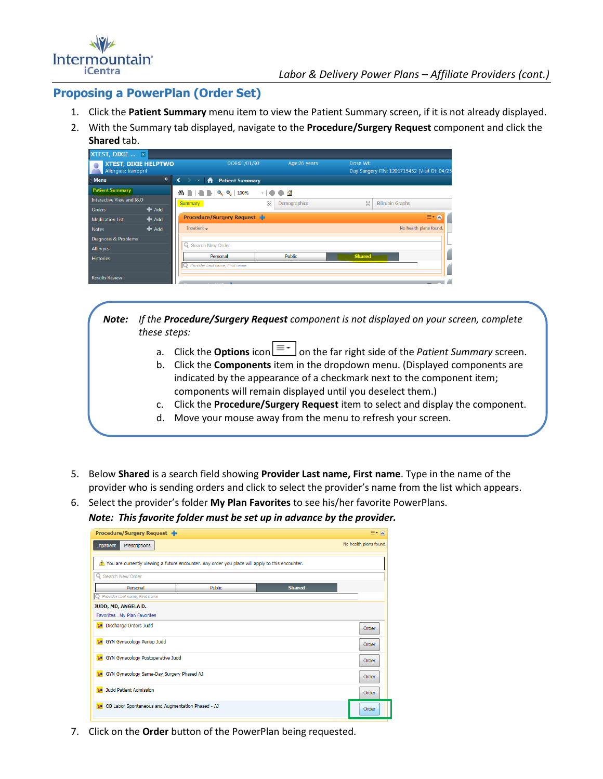

## <span id="page-3-0"></span>**Proposing a PowerPlan (Order Set)**

- 1. Click the **Patient Summary** menu item to view the Patient Summary screen, if it is not already displayed.
- 2. With the Summary tab displayed, navigate to the **Procedure/Surgery Request** component and click the **Shared** tab.

| XTEST, DIXIE  ×                                      |         |                                            |             |                    |               |                                              |
|------------------------------------------------------|---------|--------------------------------------------|-------------|--------------------|---------------|----------------------------------------------|
| <b>XTEST, DIXIE HELPTWO</b><br>Allergies: lisinopril |         | DOB:01/01/90                               |             | Age:26 years       | Dose Wt:      | Day Surgery FIN: 1201715452 [Visit Dt: 04/25 |
| <b>Menu</b>                                          | ņ.      | <b>Patient Summary</b><br>₩<br>$\bullet$ . |             |                    |               |                                              |
| <b>Patient Summary</b>                               |         | $\blacksquare$<br>100%<br>æ.               | $-10$       | $\Box$ $\triangle$ |               |                                              |
| Interactive View and I&O                             |         | <b>Summary</b>                             | $\boxtimes$ | Demographics       | $\boxtimes$   | <b>Bilirubin Graphs</b>                      |
| Orders                                               | $#$ Add |                                            |             |                    |               |                                              |
| <b>Medication List</b>                               | $#$ Add | <b>Procedure/Surgery Request</b>           |             |                    |               | $\equiv -\infty$                             |
| <b>Notes</b>                                         | $#$ Add | Inpatient $\rightarrow$                    |             |                    |               | No health plans found.                       |
| Diagnosis & Problems                                 |         |                                            |             |                    |               |                                              |
| Allergies                                            |         | Q Search New Order                         |             |                    |               |                                              |
| <b>Histories</b>                                     |         | Personal                                   |             | <b>Public</b>      | <b>Shared</b> |                                              |
|                                                      |         | Provider Last name, First name             |             |                    |               |                                              |
| <b>Results Review</b>                                |         |                                            |             |                    |               |                                              |

*Note: If the Procedure/Surgery Request component is not displayed on your screen, complete these steps:*

- a. Click the **Options** icon  $\equiv$   $\equiv$  on the far right side of the *Patient Summary* screen.
- b. Click the **Components** item in the dropdown menu. (Displayed components are indicated by the appearance of a checkmark next to the component item; components will remain displayed until you deselect them.)
- c. Click the **Procedure/Surgery Request** item to select and display the component.
- d. Move your mouse away from the menu to refresh your screen.
- 5. Below **Shared** is a search field showing **Provider Last name, First name**. Type in the name of the provider who is sending orders and click to select the provider's name from the list which appears.
- 6. Select the provider's folder **My Plan Favorites** to see his/her favorite PowerPlans.
	- *Note: This favorite folder must be set up in advance by the provider.*

| <b>Procedure/Surgery Request</b>                       |                                                                                                 |               | $\equiv$ $\sim$ $\approx$ |
|--------------------------------------------------------|-------------------------------------------------------------------------------------------------|---------------|---------------------------|
| Inpatient<br>Prescriptions                             |                                                                                                 |               | No health plans found.    |
|                                                        | You are currently viewing a future encounter. Any order you place will apply to this encounter. |               |                           |
| Q Search New Order                                     |                                                                                                 |               |                           |
| Personal                                               | Public                                                                                          | <b>Shared</b> |                           |
| Provider Last name, First name                         |                                                                                                 |               |                           |
| JUDD, MD, ANGELA D.                                    |                                                                                                 |               |                           |
| FavoritesMy Plan Favorites                             |                                                                                                 |               |                           |
| <b>b</b> Discharge Orders Judd                         |                                                                                                 |               | Order                     |
| <b>Sa</b> GYN Gynecology Periop Judd                   |                                                                                                 |               | Order                     |
| GYN Gynecology Postoperative Judd<br>58                |                                                                                                 |               | Order                     |
| GYN Gynecology Same-Day Surgery Phased AJ<br><b>SH</b> |                                                                                                 |               | Order                     |
| Judd Patient Admission<br>58                           |                                                                                                 |               | Order                     |
| OB Labor Spontaneous and Augmentation Phased - AJ      |                                                                                                 |               | Order                     |

7. Click on the **Order** button of the PowerPlan being requested.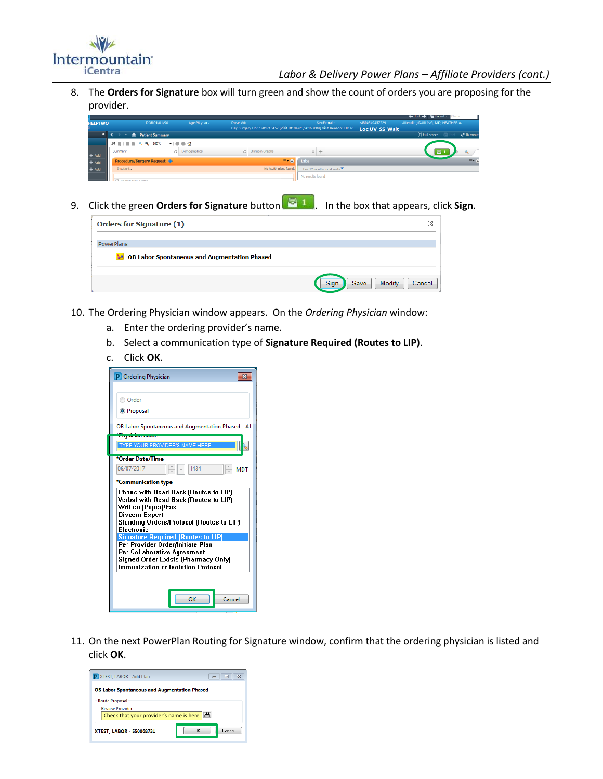

*Labor & Delivery Power Plans – Affiliate Providers (cont.)*

8. The **Orders for Signature** box will turn green and show the count of orders you are proposing for the provider.

|                |                                                           |                 |                                                                                              |                               |               | $\leftarrow$ List $\rightarrow$ 16 Recent $\cdot$ 1<br>lame |
|----------------|-----------------------------------------------------------|-----------------|----------------------------------------------------------------------------------------------|-------------------------------|---------------|-------------------------------------------------------------|
| <b>HELPTWO</b> | DOB:01/01/90                                              | Age:26 years    | Dose Wt:                                                                                     | Sex:Female                    | MRN:549457229 | Attending:DABLING, MD, HEATHER A.                           |
|                |                                                           |                 | Day Surgery FIN: 1201715452 [Visit Dt: 04/25/2016 9:09] Visit Reason: IUD RE Loc: UV SS Wait |                               |               |                                                             |
| $\mathbf{a}$   | <b>A</b> Patient Summary                                  |                 |                                                                                              |                               |               | [D] Full screen<br>$2$ 16 minut<br>- m                      |
|                | <b>AN IN BRANCH STAR AND ALL PROPERTY OF A CALCULATED</b> |                 |                                                                                              |                               |               |                                                             |
| <b>+</b> Add   | Summary                                                   | 83 Demographics | 23 Bilirubin Graphs                                                                          | $\boxtimes$<br>÷              |               | 园                                                           |
| + Add          | <b>Procedure/Surgery Request</b>                          |                 | $\equiv$ 0                                                                                   | Labs                          |               | $\equiv$ - $\sim$                                           |
| + Add          | Inpatient $\mathbf{\downarrow}$                           |                 | No health plans found.                                                                       | Last 12 months for all visits |               |                                                             |
|                |                                                           |                 |                                                                                              | No results found              |               |                                                             |
|                | Charles March Charles                                     |                 |                                                                                              |                               |               |                                                             |

9. Click the green **Orders for Signature** button **. In the box that appears, click Sign.** 

| <b>Orders for Signature (1)</b>                                             | x                                |
|-----------------------------------------------------------------------------|----------------------------------|
| <b>PowerPlans</b><br><b>DE OB Labor Spontaneous and Augmentation Phased</b> |                                  |
|                                                                             | Modify<br>Cancel<br>Save<br>Sign |

- 10. The Ordering Physician window appears. On the *Ordering Physician* window:
	- a. Enter the ordering provider's name.
	- b. Select a communication type of **Signature Required (Routes to LIP)**.
	- c. Click **OK**.

| P Ordering Physician                                                                                                                                                                    |  |  |  |  |
|-----------------------------------------------------------------------------------------------------------------------------------------------------------------------------------------|--|--|--|--|
| O Order                                                                                                                                                                                 |  |  |  |  |
| <sup>O</sup> Proposal                                                                                                                                                                   |  |  |  |  |
| OB Labor Spontaneous and Augmentation Phased - AJ                                                                                                                                       |  |  |  |  |
| ani<br>1. Taylor Suna Tanzania<br><b>TYPE YOUR PROVIDER'S NAME HERE</b>                                                                                                                 |  |  |  |  |
| *Order Date/Time<br>06/07/2017<br>1434<br>MDT                                                                                                                                           |  |  |  |  |
| *Communication type                                                                                                                                                                     |  |  |  |  |
| Phone with Read Back (Routes to LIP)<br>Verbal with Read Back (Routes to LIP)<br>Written (Paper)/Fax<br>Discern Expert<br>Standing Orders/Protocol (Routes to LIP)<br><b>Electronic</b> |  |  |  |  |
| <b>Signature Required (Routes to LIP)</b>                                                                                                                                               |  |  |  |  |
| Per Provider Order/Initiate Plan<br>Per Collaborative Agreement                                                                                                                         |  |  |  |  |
| Signed Order Exists (Pharmacy Only)                                                                                                                                                     |  |  |  |  |
| Immunization or Isolation Protocol                                                                                                                                                      |  |  |  |  |
|                                                                                                                                                                                         |  |  |  |  |
| OK<br>Cancel                                                                                                                                                                            |  |  |  |  |

11. On the next PowerPlan Routing for Signature window, confirm that the ordering physician is listed and click **OK**.

| XTEST, LABOR - Add Plan                                           | 23<br>e      |
|-------------------------------------------------------------------|--------------|
| <b>OB Labor Spontaneous and Augmentation Phased</b>               |              |
| <b>Route Proposal</b>                                             |              |
| <b>Review Provider</b><br>Check that your provider's name is here | <b>CHO</b>   |
| XTEST, LABOR - 550068731                                          | Cancel<br>ΠK |